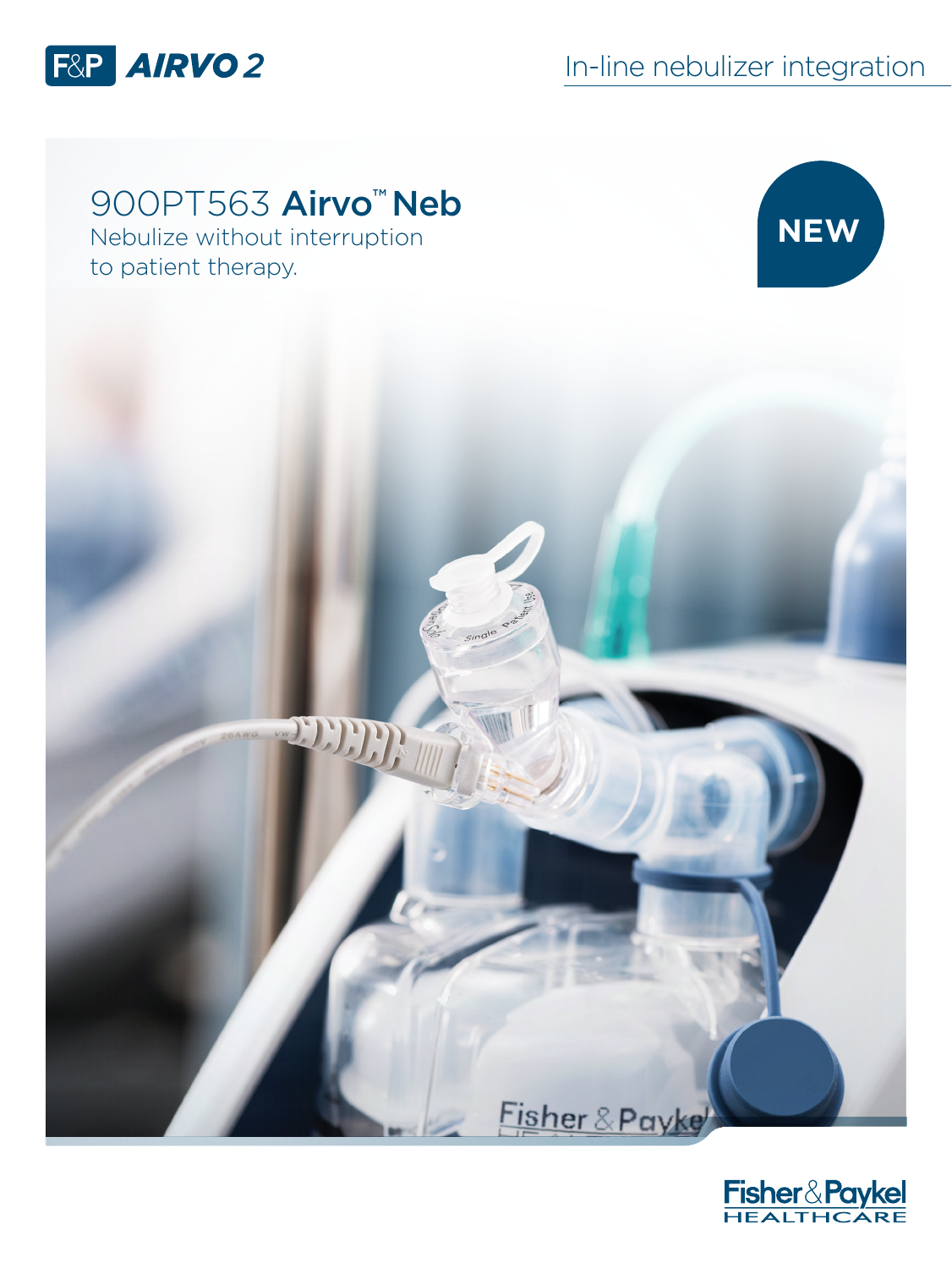

## 900PT563 Airvo<sup>™</sup> Neb

Nebulize without interruption to patient therapy.